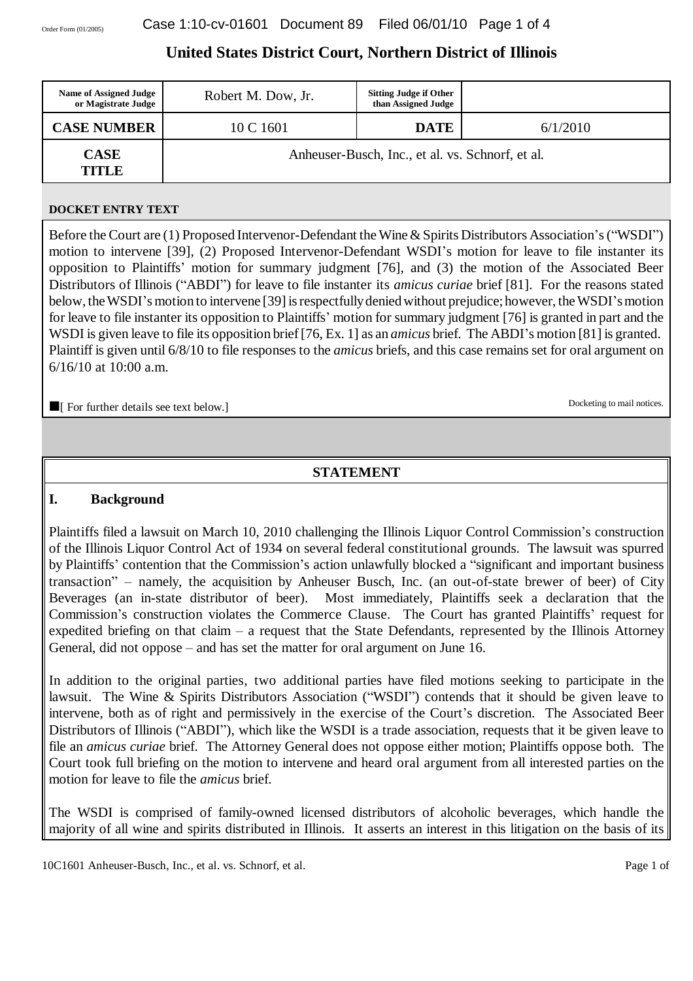# **United States District Court, Northern District of Illinois**

| <b>Name of Assigned Judge</b><br>or Magistrate Judge | Robert M. Dow, Jr.                               | <b>Sitting Judge if Other</b><br>than Assigned Judge |          |
|------------------------------------------------------|--------------------------------------------------|------------------------------------------------------|----------|
| <b>CASE NUMBER</b>                                   | 10 C 1601                                        | <b>DATE</b>                                          | 6/1/2010 |
| <b>CASE</b><br><b>TITLE</b>                          | Anheuser-Busch, Inc., et al. vs. Schnorf, et al. |                                                      |          |

#### **DOCKET ENTRY TEXT**

Before the Court are (1) Proposed Intervenor-Defendant the Wine & Spirits Distributors Association's ("WSDI") motion to intervene [39], (2) Proposed Intervenor-Defendant WSDI's motion for leave to file instanter its opposition to Plaintiffs'motion for summary judgment [76], and (3) the motion of the Associated Beer Distributors of Illinois ("ABDI") for leave to file instanter its *amicus curiae* brief [81]. For the reasons stated below, the WSDI's motion to intervene [39] is respectfully denied without prejudice; however, the WSDI's motion for leave to file instanter its opposition to Plaintiffs'motion for summary judgment [76] is granted in part and the WSDI is given leave to file its opposition brief[76, Ex. 1] as an *amicus* brief. The ABDI's motion [81] is granted. Plaintiff is given until 6/8/10 to file responses to the *amicus* briefs, and this case remains set for oral argument on  $6/16/10$  at  $10.00$  a.m.

■ [ For further details see text below.] Docketing to mail notices.

### **STATEMENT**

### **I. Background**

Plaintiffs filed a lawsuit on March 10, 2010 challenging the Illinois Liquor Control Commission's construction of the Illinois Liquor Control Act of 1934 on several federal constitutional grounds. The lawsuit was spurred by Plaintiffs' contention that the Commission's action unlawfully blocked a "significant and important business transaction"– namely, the acquisition by Anheuser Busch, Inc. (an out-of-state brewer of beer) of City Beverages (an in-state distributor of beer). Most immediately, Plaintiffs seek a declaration that the Commission's construction violates the Commerce Clause. The Court has granted Plaintiffs' request for expedited briefing on that claim – a request that the State Defendants, represented by the Illinois Attorney General, did not oppose – and has set the matter for oral argument on June 16.

In addition to the original parties, two additional parties have filed motions seeking to participate in the lawsuit. The Wine & Spirits Distributors Association ("WSDI") contends that it should be given leave to intervene, both as of right and permissively in the exercise of the Court's discretion. The Associated Beer Distributors of Illinois ("ABDI"), which like the WSDI is a trade association, requests that it be given leave to file an *amicus curiae* brief. The Attorney General does not oppose either motion; Plaintiffs oppose both. The Court took full briefing on the motion to intervene and heard oral argument from all interested parties on the motion for leave to file the *amicus* brief.

The WSDI is comprised of family-owned licensed distributors of alcoholic beverages, which handle the majority of all wine and spirits distributed in Illinois. It asserts an interest in this litigation on the basis of its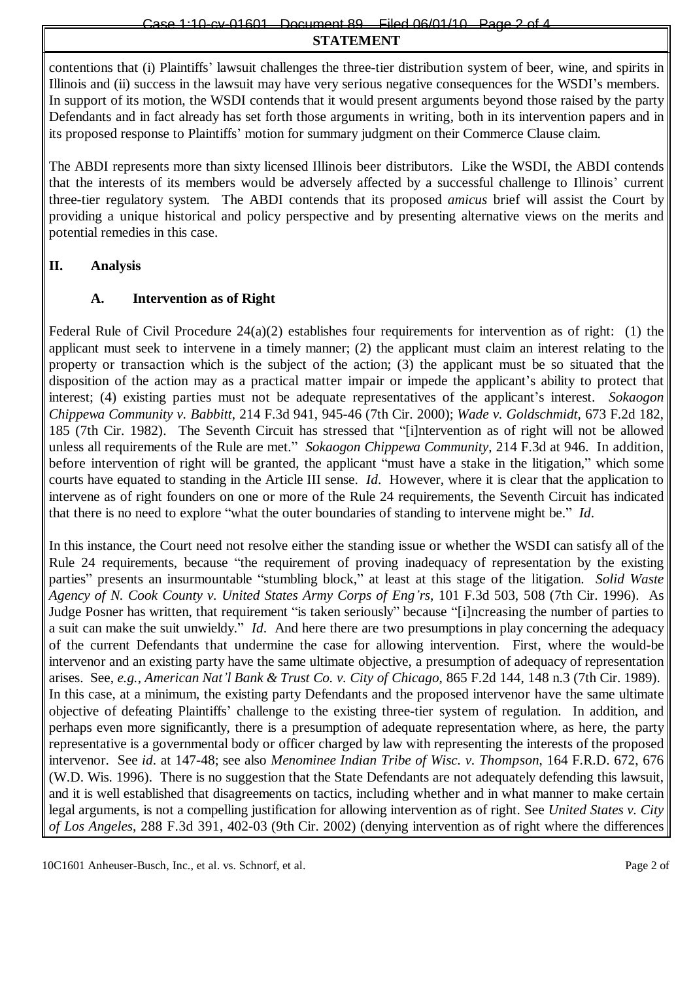## Case 1:10-cv-01601 Document 89 Filed 06/01/10 Page 2 of 4

#### **STATEMENT**

contentions that (i) Plaintiffs'lawsuit challenges the three-tier distribution system of beer, wine, and spirits in Illinois and (ii) success in the lawsuit may have very serious negative consequences for the WSDI's members. In support of its motion, the WSDI contends that it would present arguments beyond those raised by the party Defendants and in fact already has set forth those arguments in writing, both in its intervention papers and in its proposed response to Plaintiffs' motion for summary judgment on their Commerce Clause claim.

The ABDI represents more than sixty licensed Illinois beer distributors. Like the WSDI, the ABDI contends that the interests of its members would be adversely affected by a successful challenge to Illinois' current three-tier regulatory system. The ABDI contends that its proposed *amicus* brief will assist the Court by providing a unique historical and policy perspective and by presenting alternative views on the merits and potential remedies in this case.

### **II. Analysis**

### **A. Intervention as of Right**

Federal Rule of Civil Procedure 24(a)(2) establishes four requirements for intervention as of right: (1) the applicant must seek to intervene in a timely manner; (2) the applicant must claim an interest relating to the property or transaction which is the subject of the action; (3) the applicant must be so situated that the disposition of the action may as a practical matter impair or impede the applicant's ability to protect that interest; (4) existing parties must not be adequate representatives of the applicant's interest. *Sokaogon Chippewa Community v. Babbitt*, 214 F.3d 941, 945-46 (7th Cir. 2000); *Wade v. Goldschmidt*, 673 F.2d 182, 185 (7th Cir. 1982). The Seventh Circuit has stressed that "[i]ntervention as of right will not be allowed unless all requirements of the Rule are met." *Sokaogon Chippewa Community*, 214 F.3d at 946. In addition, before intervention of right will be granted, the applicant "must have a stake in the litigation," which some courts have equated to standing in the Article III sense. *Id*. However, where it is clear that the application to intervene as of right founders on one or more of the Rule 24 requirements, the Seventh Circuit has indicated that there is no need to explore "what the outer boundaries of standing to intervene might be." *Id*.

In this instance, the Court need not resolve either the standing issue or whether the WSDI can satisfy all of the Rule 24 requirements, because "the requirement of proving inadequacy of representation by the existing parties" presents an insurmountable "stumbling block," at least at this stage of the litigation. *Solid Waste Agency of N. Cook County v. United States Army Corps of Eng'rs*, 101 F.3d 503, 508 (7th Cir. 1996). As Judge Posner has written, that requirement "is taken seriously"because "[i]ncreasing the number of parties to a suit can make the suit unwieldy."*Id*. And here there are two presumptions in play concerning the adequacy of the current Defendants that undermine the case for allowing intervention. First, where the would-be intervenor and an existing party have the same ultimate objective, a presumption of adequacy of representation arises. See, *e.g.*, *American Nat'l Bank & Trust Co. v. City of Chicago*, 865 F.2d 144, 148 n.3 (7th Cir. 1989). In this case, at a minimum, the existing party Defendants and the proposed intervenor have the same ultimate objective of defeating Plaintiffs'challenge to the existing three-tier system of regulation. In addition, and perhaps even more significantly, there is a presumption of adequate representation where, as here, the party representative is a governmental body or officer charged by law with representing the interests of the proposed intervenor. See *id*. at 147-48; see also *Menominee Indian Tribe of Wisc. v. Thompson*, 164 F.R.D. 672, 676 (W.D. Wis. 1996). There is no suggestion that the State Defendants are not adequately defending this lawsuit, and it is well established that disagreements on tactics, including whether and in what manner to make certain legal arguments, is not a compelling justification for allowing intervention as of right. See *United States v. City of Los Angeles*, 288 F.3d 391, 402-03 (9th Cir. 2002) (denying intervention as of right where the differences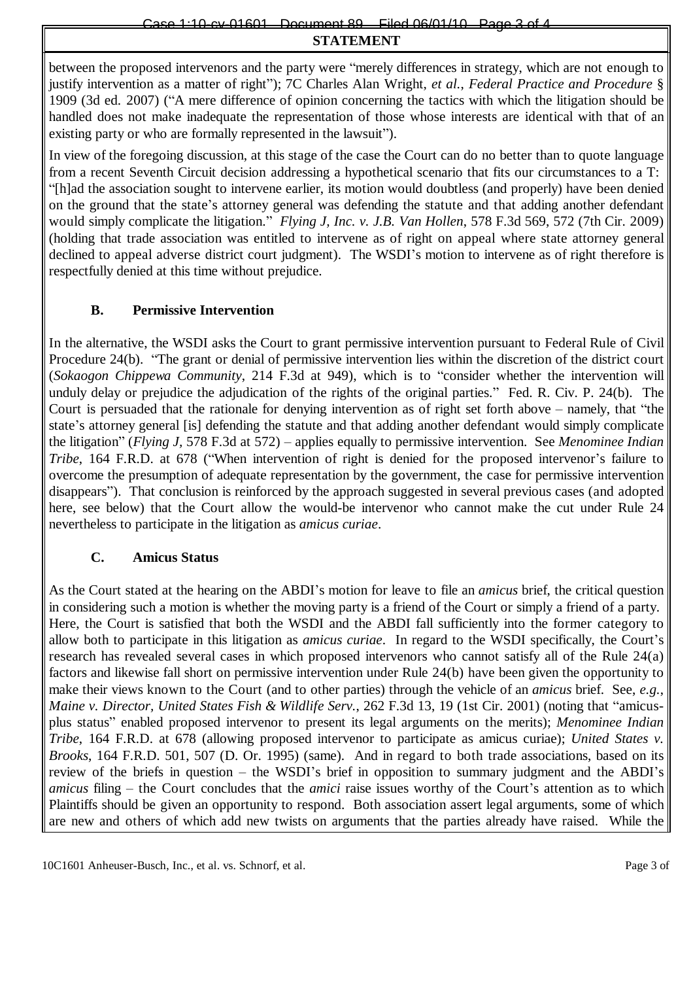## Case 1:10-cv-01601 Document 89 Filed 06/01/10 Page 3 of 4

### **STATEMENT**

between the proposed intervenors and the party were "merely differences in strategy, which are not enough to justify intervention as a matter of right"); 7C Charles Alan Wright, *et al.*, *Federal Practice and Procedure* § 1909 (3d ed. 2007) ("A mere difference of opinion concerning the tactics with which the litigation should be handled does not make inadequate the representation of those whose interests are identical with that of an existing party or who are formally represented in the lawsuit").

In view of the foregoing discussion, at this stage of the case the Court can do no better than to quote language from a recent Seventh Circuit decision addressing a hypothetical scenario that fits our circumstances to a T: "[h]ad the association sought to intervene earlier, its motion would doubtless (and properly) have been denied on the ground that the state's attorney general was defending the statute and that adding another defendant would simply complicate the litigation." *Flying J, Inc. v. J.B. Van Hollen*, 578 F.3d 569, 572 (7th Cir. 2009) (holding that trade association was entitled to intervene as of right on appeal where state attorney general declined to appeal adverse district court judgment). The WSDI's motion to intervene as of right therefore is respectfully denied at this time without prejudice.

### **B. Permissive Intervention**

In the alternative, the WSDI asks the Court to grant permissive intervention pursuant to Federal Rule of Civil Procedure 24(b). "The grant or denial of permissive intervention lies within the discretion of the district court (*Sokaogon Chippewa Community*, 214 F.3d at 949), which is to "consider whether the intervention will unduly delay or prejudice the adjudication of the rights of the original parties." Fed. R. Civ. P. 24(b). The Court is persuaded that the rationale for denying intervention as of right set forth above – namely, that "the state's attorney general [is] defending the statute and that adding another defendant would simply complicate the litigation" (*Flying J,* 578 F.3d at 572) –applies equally to permissive intervention. See *Menominee Indian Tribe*, 164 F.R.D. at 678 ("When intervention of right is denied for the proposed intervenor's failure to overcome the presumption of adequate representation by the government, the case for permissive intervention disappears"). That conclusion is reinforced by the approach suggested in several previous cases (and adopted here, see below) that the Court allow the would-be intervenor who cannot make the cut under Rule 24 nevertheless to participate in the litigation as *amicus curiae*.

## **C. Amicus Status**

As the Court stated at the hearing on the ABDI's motion for leave to file an *amicus* brief, the critical question in considering such a motion is whether the moving party is a friend of the Court or simply a friend of a party. Here, the Court is satisfied that both the WSDI and the ABDI fall sufficiently into the former category to allow both to participate in this litigation as *amicus curiae*. In regard to the WSDI specifically, the Court's research has revealed several cases in which proposed intervenors who cannot satisfy all of the Rule 24(a) factors and likewise fall short on permissive intervention under Rule 24(b) have been given the opportunity to make their views known to the Court (and to other parties) through the vehicle of an *amicus* brief. See, *e.g.*, *Maine v. Director, United States Fish & Wildlife Serv.*, 262 F.3d 13, 19 (1st Cir. 2001) (noting that "amicusplus status"enabled proposed intervenor to present its legal arguments on the merits); *Menominee Indian Tribe*, 164 F.R.D. at 678 (allowing proposed intervenor to participate as amicus curiae); *United States v. Brooks*, 164 F.R.D. 501, 507 (D. Or. 1995) (same). And in regard to both trade associations, based on its review of the briefs in question – the WSDI's brief in opposition to summary judgment and the ABDI's *amicus* filing – the Court concludes that the *amici* raise issues worthy of the Court's attention as to which Plaintiffs should be given an opportunity to respond. Both association assert legal arguments, some of which are new and others of which add new twists on arguments that the parties already have raised. While the